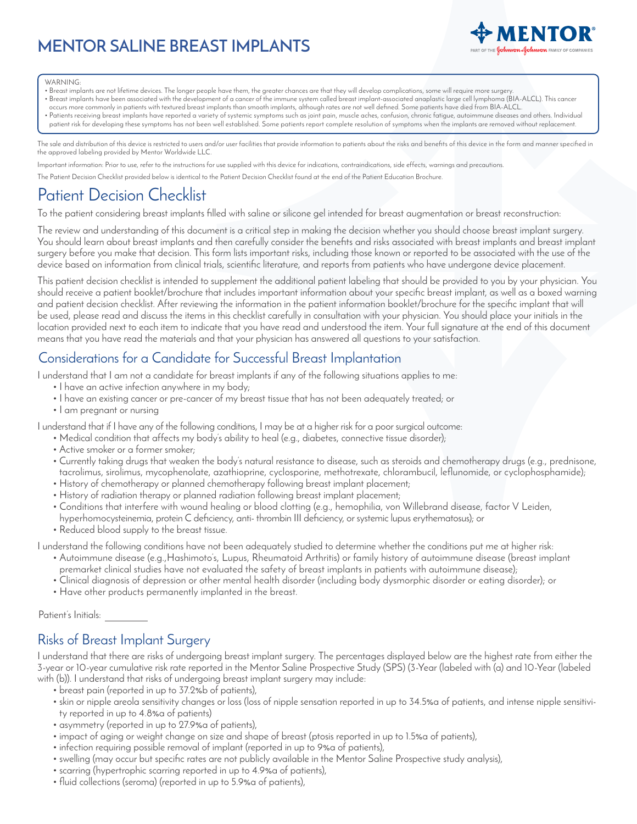# **MENTOR SALINE BREAST IMPLANTS**



#### WARNING:

- Breast implants are not lifetime devices. The longer people have them, the greater chances are that they will develop complications, some will require more surgery.
- Breast implants have been associated with the development of a cancer of the immune system called breast implant-associated anaplastic large cell lymphoma (BIA-ALCL). This cancer occurs more commonly in patients with textured breast implants than smooth implants, although rates are not well defined. Some patients have died from BIA-ALCL.
- Patients receiving breast implants have reported a variety of systemic symptoms such as joint pain, muscle aches, confusion, chronic fatigue, autoimmune diseases and others. Individual patient risk for developing these symptoms has not been well established. Some patients report complete resolution of symptoms when the implants are removed without replacement.

The sale and distribution of this device is restricted to users and/or user facilities that provide information to patients about the risks and benefits of this device in the form and manner specified in the approved labeling provided by Mentor Worldwide LLC.

Important information: Prior to use, refer to the instructions for use supplied with this device for indications, contraindications, side effects, warnings and precautions.

The Patient Decision Checklist provided below is identical to the Patient Decision Checklist found at the end of the Patient Education Brochure.

# Patient Decision Checklist

To the patient considering breast implants filled with saline or silicone gel intended for breast augmentation or breast reconstruction:

The review and understanding of this document is a critical step in making the decision whether you should choose breast implant surgery. You should learn about breast implants and then carefully consider the benefits and risks associated with breast implants and breast implant surgery before you make that decision. This form lists important risks, including those known or reported to be associated with the use of the device based on information from clinical trials, scientific literature, and reports from patients who have undergone device placement.

This patient decision checklist is intended to supplement the additional patient labeling that should be provided to you by your physician. You should receive a patient booklet/brochure that includes important information about your specific breast implant, as well as a boxed warning and patient decision checklist. After reviewing the information in the patient information booklet/brochure for the specific implant that will be used, please read and discuss the items in this checklist carefully in consultation with your physician. You should place your initials in the location provided next to each item to indicate that you have read and understood the item. Your full signature at the end of this document means that you have read the materials and that your physician has answered all questions to your satisfaction.

## Considerations for a Candidate for Successful Breast Implantation

I understand that I am not a candidate for breast implants if any of the following situations applies to me:

- I have an active infection anywhere in my body;
- I have an existing cancer or pre-cancer of my breast tissue that has not been adequately treated; or
- I am pregnant or nursing

I understand that if I have any of the following conditions, I may be at a higher risk for a poor surgical outcome:

- Medical condition that affects my body's ability to heal (e.g., diabetes, connective tissue disorder);
- Active smoker or a former smoker;
- Currently taking drugs that weaken the body's natural resistance to disease, such as steroids and chemotherapy drugs (e.g., prednisone, tacrolimus, sirolimus, mycophenolate, azathioprine, cyclosporine, methotrexate, chlorambucil, leflunomide, or cyclophosphamide);
- History of chemotherapy or planned chemotherapy following breast implant placement;
- History of radiation therapy or planned radiation following breast implant placement;
- Conditions that interfere with wound healing or blood clotting (e.g., hemophilia, von Willebrand disease, factor V Leiden,
- hyperhomocysteinemia, protein C deficiency, anti- thrombin III deficiency, or systemic lupus erythematosus); or
- Reduced blood supply to the breast tissue.
- I understand the following conditions have not been adequately studied to determine whether the conditions put me at higher risk:
	- Autoimmune disease (e.g.,Hashimoto's, Lupus, Rheumatoid Arthritis) or family history of autoimmune disease (breast implant premarket clinical studies have not evaluated the safety of breast implants in patients with autoimmune disease);
	- Clinical diagnosis of depression or other mental health disorder (including body dysmorphic disorder or eating disorder); or
	- Have other products permanently implanted in the breast.

Patient's Initials:

## Risks of Breast Implant Surgery

I understand that there are risks of undergoing breast implant surgery. The percentages displayed below are the highest rate from either the 3-year or 10-year cumulative risk rate reported in the Mentor Saline Prospective Study (SPS) (3-Year (labeled with (a) and 10-Year (labeled with (b)). I understand that risks of undergoing breast implant surgery may include:

- breast pain (reported in up to 37.2%b of patients),
- skin or nipple areola sensitivity changes or loss (loss of nipple sensation reported in up to 34.5%a of patients, and intense nipple sensitivity reported in up to 4.8%a of patients)
- asymmetry (reported in up to 27.9%a of patients),
- impact of aging or weight change on size and shape of breast (ptosis reported in up to 1.5%a of patients),
- infection requiring possible removal of implant (reported in up to 9%a of patients),
- swelling (may occur but specific rates are not publicly available in the Mentor Saline Prospective study analysis),
- scarring (hypertrophic scarring reported in up to 4.9%a of patients),
- fluid collections (seroma) (reported in up to 5.9%a of patients),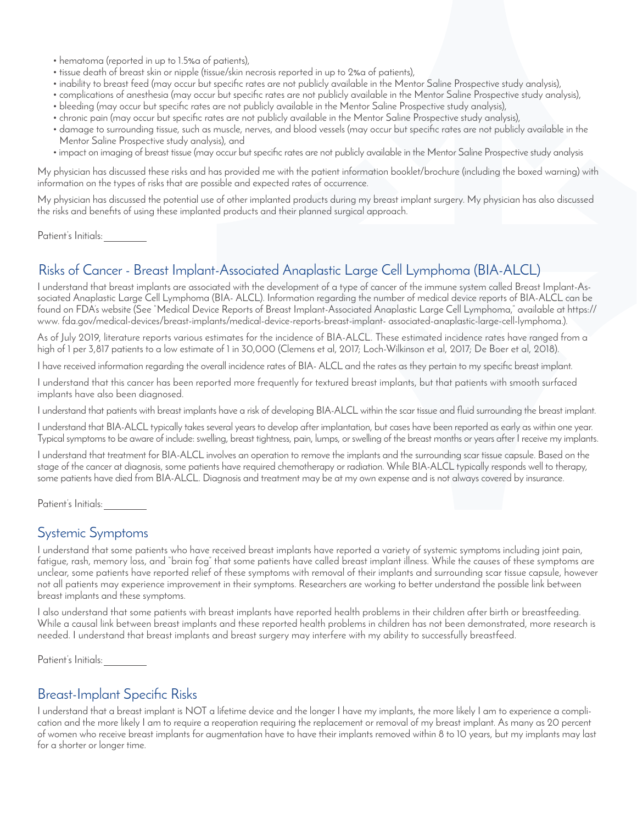- hematoma (reported in up to 1.5%a of patients),
- tissue death of breast skin or nipple (tissue/skin necrosis reported in up to 2%a of patients),
- inability to breast feed (may occur but specific rates are not publicly available in the Mentor Saline Prospective study analysis),
- complications of anesthesia (may occur but specific rates are not publicly available in the Mentor Saline Prospective study analysis),
- bleeding (may occur but specific rates are not publicly available in the Mentor Saline Prospective study analysis),
- chronic pain (may occur but specific rates are not publicly available in the Mentor Saline Prospective study analysis),
- damage to surrounding tissue, such as muscle, nerves, and blood vessels (may occur but specific rates are not publicly available in the Mentor Saline Prospective study analysis), and
- impact on imaging of breast tissue (may occur but specific rates are not publicly available in the Mentor Saline Prospective study analysis

My physician has discussed these risks and has provided me with the patient information booklet/brochure (including the boxed warning) with information on the types of risks that are possible and expected rates of occurrence.

My physician has discussed the potential use of other implanted products during my breast implant surgery. My physician has also discussed the risks and benefits of using these implanted products and their planned surgical approach.

Patient's Initials:

# Risks of Cancer - Breast Implant-Associated Anaplastic Large Cell Lymphoma (BIA-ALCL)

I understand that breast implants are associated with the development of a type of cancer of the immune system called Breast Implant-Associated Anaplastic Large Cell Lymphoma (BIA- ALCL). Information regarding the number of medical device reports of BIA-ALCL can be found on FDA's website (See "Medical Device Reports of Breast Implant-Associated Anaplastic Large Cell Lymphoma," available at https:// www. fda.gov/medical-devices/breast-implants/medical-device-reports-breast-implant- associated-anaplastic-large-cell-lymphoma.).

As of July 2019, literature reports various estimates for the incidence of BIA-ALCL. These estimated incidence rates have ranged from a high of 1 per 3,817 patients to a low estimate of 1 in 30,000 (Clemens et al, 2017; Loch-Wilkinson et al, 2017; De Boer et al, 2018).

I have received information regarding the overall incidence rates of BIA- ALCL and the rates as they pertain to my specific breast implant.

I understand that this cancer has been reported more frequently for textured breast implants, but that patients with smooth surfaced implants have also been diagnosed.

I understand that patients with breast implants have a risk of developing BIA-ALCL within the scar tissue and fluid surrounding the breast implant.

I understand that BIA-ALCL typically takes several years to develop after implantation, but cases have been reported as early as within one year. Typical symptoms to be aware of include: swelling, breast tightness, pain, lumps, or swelling of the breast months or years after I receive my implants.

I understand that treatment for BIA-ALCL involves an operation to remove the implants and the surrounding scar tissue capsule. Based on the stage of the cancer at diagnosis, some patients have required chemotherapy or radiation. While BIA-ALCL typically responds well to therapy, some patients have died from BIA-ALCL. Diagnosis and treatment may be at my own expense and is not always covered by insurance.

Patient's Initials:

#### Systemic Symptoms

I understand that some patients who have received breast implants have reported a variety of systemic symptoms including joint pain, fatigue, rash, memory loss, and "brain fog" that some patients have called breast implant illness. While the causes of these symptoms are unclear, some patients have reported relief of these symptoms with removal of their implants and surrounding scar tissue capsule, however not all patients may experience improvement in their symptoms. Researchers are working to better understand the possible link between breast implants and these symptoms.

I also understand that some patients with breast implants have reported health problems in their children after birth or breastfeeding. While a causal link between breast implants and these reported health problems in children has not been demonstrated, more research is needed. I understand that breast implants and breast surgery may interfere with my ability to successfully breastfeed.

Patient's Initials:

## Breast-Implant Specific Risks

I understand that a breast implant is NOT a lifetime device and the longer I have my implants, the more likely I am to experience a complication and the more likely I am to require a reoperation requiring the replacement or removal of my breast implant. As many as 20 percent of women who receive breast implants for augmentation have to have their implants removed within 8 to 10 years, but my implants may last for a shorter or longer time.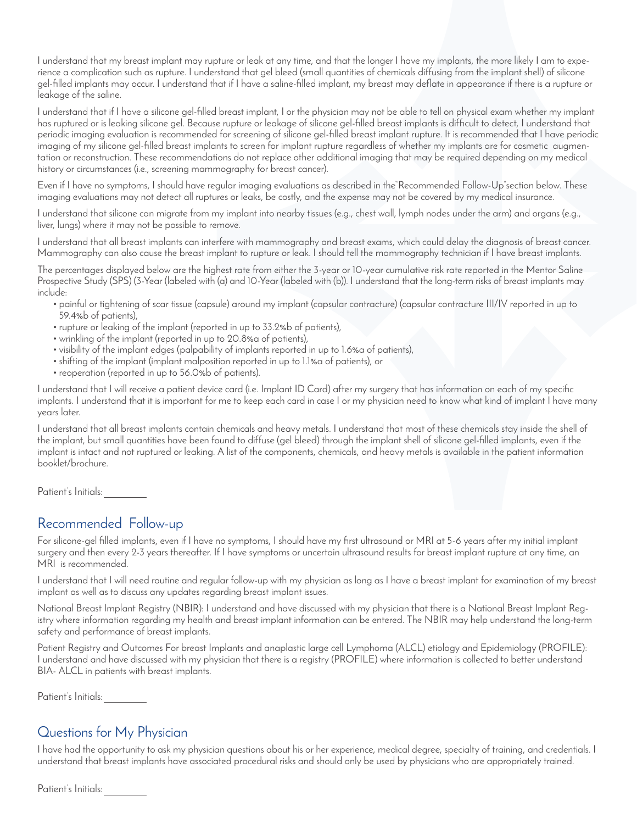I understand that my breast implant may rupture or leak at any time, and that the longer I have my implants, the more likely I am to experience a complication such as rupture. I understand that gel bleed (small quantities of chemicals diffusing from the implant shell) of silicone gel-filled implants may occur. I understand that if I have a saline-filled implant, my breast may deflate in appearance if there is a rupture or leakage of the saline.

I understand that if I have a silicone gel-filled breast implant, I or the physician may not be able to tell on physical exam whether my implant has ruptured or is leaking silicone gel. Because rupture or leakage of silicone gel-filled breast implants is difficult to detect, I understand that periodic imaging evaluation is recommended for screening of silicone gel-filled breast implant rupture. It is recommended that I have periodic imaging of my silicone gel-filled breast implants to screen for implant rupture regardless of whether my implants are for cosmetic augmentation or reconstruction. These recommendations do not replace other additional imaging that may be required depending on my medical history or circumstances (i.e., screening mammography for breast cancer).

Even if I have no symptoms, I should have regular imaging evaluations as described in the"Recommended Follow-Up"section below. These imaging evaluations may not detect all ruptures or leaks, be costly, and the expense may not be covered by my medical insurance.

I understand that silicone can migrate from my implant into nearby tissues (e.g., chest wall, lymph nodes under the arm) and organs (e.g., liver, lungs) where it may not be possible to remove.

I understand that all breast implants can interfere with mammography and breast exams, which could delay the diagnosis of breast cancer. Mammography can also cause the breast implant to rupture or leak. I should tell the mammography technician if I have breast implants.

The percentages displayed below are the highest rate from either the 3-year or 10-year cumulative risk rate reported in the Mentor Saline Prospective Study (SPS) (3-Year (labeled with (a) and 10-Year (labeled with (b)). I understand that the long-term risks of breast implants may include:

- painful or tightening of scar tissue (capsule) around my implant (capsular contracture) (capsular contracture III/IV reported in up to 59.4%b of patients),
- rupture or leaking of the implant (reported in up to 33.2%b of patients),
- wrinkling of the implant (reported in up to 20.8%a of patients),
- visibility of the implant edges (palpability of implants reported in up to 1.6%a of patients),
- shifting of the implant (implant malposition reported in up to 1.1%a of patients), or
- reoperation (reported in up to 56.0%b of patients).

I understand that I will receive a patient device card (i.e. Implant ID Card) after my surgery that has information on each of my specific implants. I understand that it is important for me to keep each card in case I or my physician need to know what kind of implant I have many years later.

I understand that all breast implants contain chemicals and heavy metals. I understand that most of these chemicals stay inside the shell of the implant, but small quantities have been found to diffuse (gel bleed) through the implant shell of silicone gel-filled implants, even if the implant is intact and not ruptured or leaking. A list of the components, chemicals, and heavy metals is available in the patient information booklet/brochure.

Patient's Initials:

#### Recommended Follow-up

For silicone-gel filled implants, even if I have no symptoms, I should have my first ultrasound or MRI at 5-6 years after my initial implant surgery and then every 2-3 years thereafter. If I have symptoms or uncertain ultrasound results for breast implant rupture at any time, an MRI is recommended.

I understand that I will need routine and regular follow-up with my physician as long as I have a breast implant for examination of my breast implant as well as to discuss any updates regarding breast implant issues.

National Breast Implant Registry (NBIR): I understand and have discussed with my physician that there is a National Breast Implant Registry where information regarding my health and breast implant information can be entered. The NBIR may help understand the long-term safety and performance of breast implants.

Patient Registry and Outcomes For breast Implants and anaplastic large cell Lymphoma (ALCL) etiology and Epidemiology (PROFILE): I understand and have discussed with my physician that there is a registry (PROFILE) where information is collected to better understand BIA- ALCL in patients with breast implants.

Patient's Initials:

## Questions for My Physician

I have had the opportunity to ask my physician questions about his or her experience, medical degree, specialty of training, and credentials. I understand that breast implants have associated procedural risks and should only be used by physicians who are appropriately trained.

Patient's Initials: